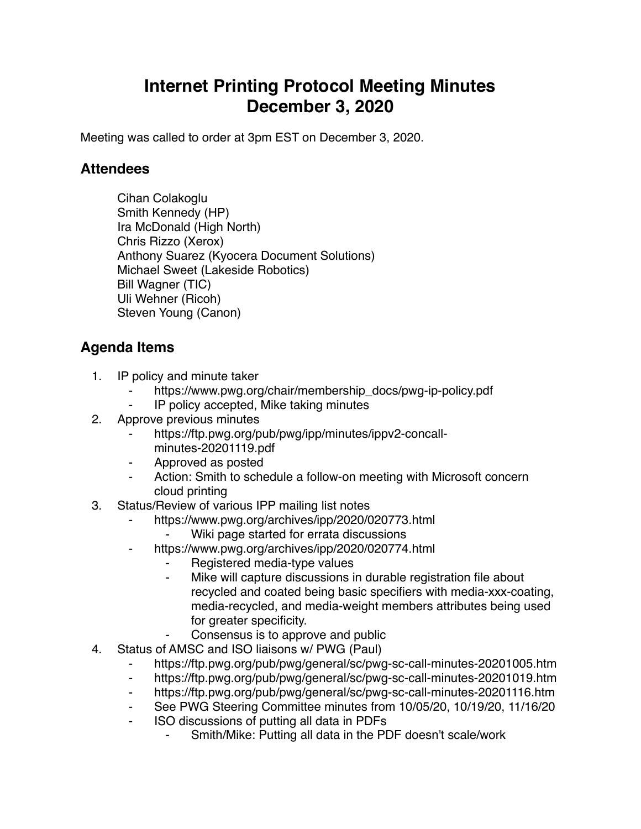## **Internet Printing Protocol Meeting Minutes December 3, 2020**

Meeting was called to order at 3pm EST on December 3, 2020.

## **Attendees**

Cihan Colakoglu Smith Kennedy (HP) Ira McDonald (High North) Chris Rizzo (Xerox) Anthony Suarez (Kyocera Document Solutions) Michael Sweet (Lakeside Robotics) Bill Wagner (TIC) Uli Wehner (Ricoh) Steven Young (Canon)

## **Agenda Items**

- 1. IP policy and minute taker
	- https://www.pwg.org/chair/membership\_docs/pwg-ip-policy.pdf
	- IP policy accepted, Mike taking minutes
- 2. Approve previous minutes
	- https://ftp.pwg.org/pub/pwg/ipp/minutes/ippv2-concallminutes-20201119.pdf
	- ⁃ Approved as posted
	- ⁃ Action: Smith to schedule a follow-on meeting with Microsoft concern cloud printing
- 3. Status/Review of various IPP mailing list notes
	- https://www.pwg.org/archives/ipp/2020/020773.html
		- Wiki page started for errata discussions
	- ⁃ https://www.pwg.org/archives/ipp/2020/020774.html
		- Registered media-type values
		- ⁃ Mike will capture discussions in durable registration file about recycled and coated being basic specifiers with media-xxx-coating, media-recycled, and media-weight members attributes being used for greater specificity.
			- Consensus is to approve and public
- 4. Status of AMSC and ISO liaisons w/ PWG (Paul)
	- https://ftp.pwg.org/pub/pwg/general/sc/pwg-sc-call-minutes-20201005.htm
	- ⁃ https://ftp.pwg.org/pub/pwg/general/sc/pwg-sc-call-minutes-20201019.htm
	- ⁃ https://ftp.pwg.org/pub/pwg/general/sc/pwg-sc-call-minutes-20201116.htm
	- See PWG Steering Committee minutes from 10/05/20, 10/19/20, 11/16/20
	- ⁃ ISO discussions of putting all data in PDFs
		- Smith/Mike: Putting all data in the PDF doesn't scale/work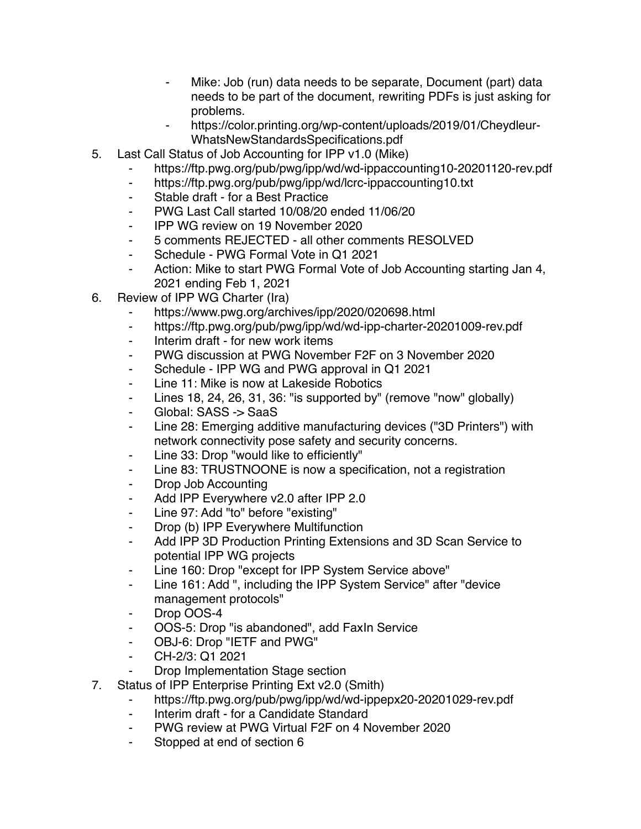- Mike: Job (run) data needs to be separate, Document (part) data needs to be part of the document, rewriting PDFs is just asking for problems.
- https://color.printing.org/wp-content/uploads/2019/01/Cheydleur-WhatsNewStandardsSpecifications.pdf
- 5. Last Call Status of Job Accounting for IPP v1.0 (Mike)
	- https://ftp.pwg.org/pub/pwg/ipp/wd/wd-ippaccounting10-20201120-rev.pdf
	- ⁃ https://ftp.pwg.org/pub/pwg/ipp/wd/lcrc-ippaccounting10.txt
	- ⁃ Stable draft for a Best Practice
	- ⁃ PWG Last Call started 10/08/20 ended 11/06/20
	- ⁃ IPP WG review on 19 November 2020
	- ⁃ 5 comments REJECTED all other comments RESOLVED
	- ⁃ Schedule PWG Formal Vote in Q1 2021
	- ⁃ Action: Mike to start PWG Formal Vote of Job Accounting starting Jan 4, 2021 ending Feb 1, 2021
- 6. Review of IPP WG Charter (Ira)
	- https://www.pwg.org/archives/ipp/2020/020698.html
	- ⁃ https://ftp.pwg.org/pub/pwg/ipp/wd/wd-ipp-charter-20201009-rev.pdf
	- ⁃ Interim draft for new work items
	- ⁃ PWG discussion at PWG November F2F on 3 November 2020
	- ⁃ Schedule IPP WG and PWG approval in Q1 2021
	- ⁃ Line 11: Mike is now at Lakeside Robotics
	- Lines 18, 24, 26, 31, 36: "is supported by" (remove "now" globally)
	- ⁃ Global: SASS -> SaaS
	- ⁃ Line 28: Emerging additive manufacturing devices ("3D Printers") with network connectivity pose safety and security concerns.
	- ⁃ Line 33: Drop "would like to efficiently"
	- ⁃ Line 83: TRUSTNOONE is now a specification, not a registration
	- ⁃ Drop Job Accounting
	- ⁃ Add IPP Everywhere v2.0 after IPP 2.0
	- ⁃ Line 97: Add "to" before "existing"
	- ⁃ Drop (b) IPP Everywhere Multifunction
	- Add IPP 3D Production Printing Extensions and 3D Scan Service to potential IPP WG projects
	- ⁃ Line 160: Drop "except for IPP System Service above"
	- ⁃ Line 161: Add ", including the IPP System Service" after "device management protocols"
	- Drop OOS-4
	- ⁃ OOS-5: Drop "is abandoned", add FaxIn Service
	- ⁃ OBJ-6: Drop "IETF and PWG"
	- ⁃ CH-2/3: Q1 2021
	- ⁃ Drop Implementation Stage section
- 7. Status of IPP Enterprise Printing Ext v2.0 (Smith)
	- ⁃ https://ftp.pwg.org/pub/pwg/ipp/wd/wd-ippepx20-20201029-rev.pdf
	- ⁃ Interim draft for a Candidate Standard
	- PWG review at PWG Virtual F2F on 4 November 2020
	- ⁃ Stopped at end of section 6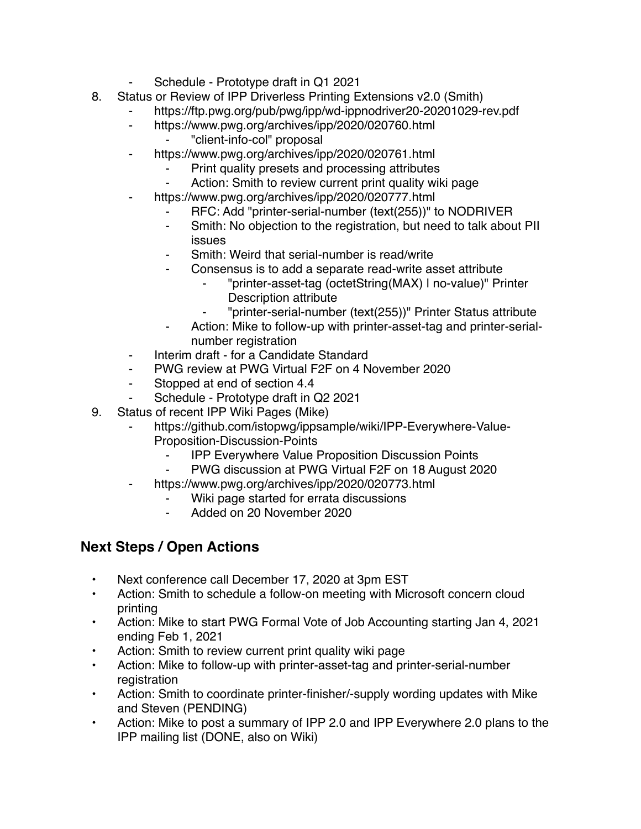- Schedule Prototype draft in Q1 2021
- 8. Status or Review of IPP Driverless Printing Extensions v2.0 (Smith)
	- https://ftp.pwg.org/pub/pwg/ipp/wd-ippnodriver20-20201029-rev.pdf
	- ⁃ https://www.pwg.org/archives/ipp/2020/020760.html
		- ⁃ "client-info-col" proposal
	- https://www.pwg.org/archives/ipp/2020/020761.html
		- Print quality presets and processing attributes
		- Action: Smith to review current print quality wiki page
	- https://www.pwg.org/archives/ipp/2020/020777.html
		- ⁃ RFC: Add "printer-serial-number (text(255))" to NODRIVER
		- ⁃ Smith: No objection to the registration, but need to talk about PII issues
		- Smith: Weird that serial-number is read/write
		- ⁃ Consensus is to add a separate read-write asset attribute
			- ⁃ "printer-asset-tag (octetString(MAX) | no-value)" Printer Description attribute
				- ⁃ "printer-serial-number (text(255))" Printer Status attribute
		- Action: Mike to follow-up with printer-asset-tag and printer-serialnumber registration
	- ⁃ Interim draft for a Candidate Standard
	- ⁃ PWG review at PWG Virtual F2F on 4 November 2020
	- ⁃ Stopped at end of section 4.4
	- Schedule Prototype draft in Q2 2021
- 9. Status of recent IPP Wiki Pages (Mike)
	- https://github.com/istopwg/ippsample/wiki/IPP-Everywhere-Value-Proposition-Discussion-Points
		- ⁃ IPP Everywhere Value Proposition Discussion Points
		- PWG discussion at PWG Virtual F2F on 18 August 2020
	- https://www.pwg.org/archives/ipp/2020/020773.html
		- Wiki page started for errata discussions
		- ⁃ Added on 20 November 2020

## **Next Steps / Open Actions**

- Next conference call December 17, 2020 at 3pm EST
- Action: Smith to schedule a follow-on meeting with Microsoft concern cloud printing
- Action: Mike to start PWG Formal Vote of Job Accounting starting Jan 4, 2021 ending Feb 1, 2021
- Action: Smith to review current print quality wiki page
- Action: Mike to follow-up with printer-asset-tag and printer-serial-number registration
- Action: Smith to coordinate printer-finisher/-supply wording updates with Mike and Steven (PENDING)
- Action: Mike to post a summary of IPP 2.0 and IPP Everywhere 2.0 plans to the IPP mailing list (DONE, also on Wiki)